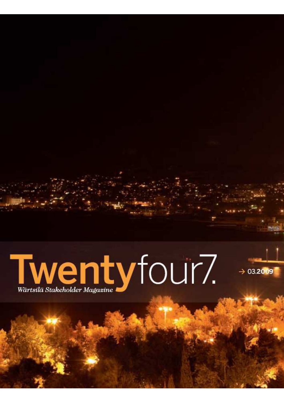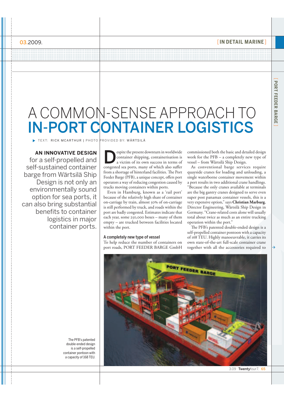PORT FEEDER BARGE **PORT FEEDER BARGE** ]

# A COMMON-SENSE APPROACH TO IN-PORT CONTAINER LOGISTICS

TEXT: RICK MCARTHUR | PHOTO PROVIDED BY: WÄRTSILÄ

**AN INNOVATIVE DESIGN** 

for a self-propelled and self-sustained container barge from Wärtsilä Ship Design is not only an environmentally sound option for sea ports, it can also bring substantial benefits to container logistics in major container ports.

espite the present downturn in worldwide<br>container shipping, containerisation is<br>a victim of its own success in terms of<br>congested sea ports, many of which also suffer espite the present downturn in worldwide container shipping, containerisation is a victim of its own success in terms of from a shortage of hinterland facilities. The Port Feeder Barge (PFB), a unique concept, offers port operators a way of reducing congestion caused by trucks moving containers within ports.

Even in Hamburg, known as a 'rail port' because of the relatively high share of container on-carriage by train, almost 50% of on-carriage is still performed by truck, and roads within the port are badly congested. Estimates indicate that each year, some 250,000 boxes – many of them empty – are trucked between facilities located within the port.

#### A completely new type of vessel

To help reduce the number of containers on port roads, PORT FEEDER BARGE GmbH

commissioned both the basic and detailed design work for the PFB – a completely new type of vessel – from Wärtsilä Ship Design.

As conventional barge services require quayside cranes for loading and unloading, a single waterborne container movement within a port results in two additional crane handlings. "Because the only cranes available at terminals are the big gantry cranes designed to serve even super post panamax container vessels, this is a very expensive option," says **Christian Marburg**, Director Engineering, Wärtsilä Ship Design in Germany. "Crane-related costs alone will usually total about twice as much as an entire trucking operation within the port."

The PFB's patented double-ended design is a self-propelled container pontoon with a capacity of 168 TEU. Highly manoeuvrable, it carries its own state-of-the-art full-scale container crane together with all the accessories required to



The PFB's patented double-ended design is a self-propelled container pontoon with a capacity of 168 TEU.

3.09 Twentyfour7. 65